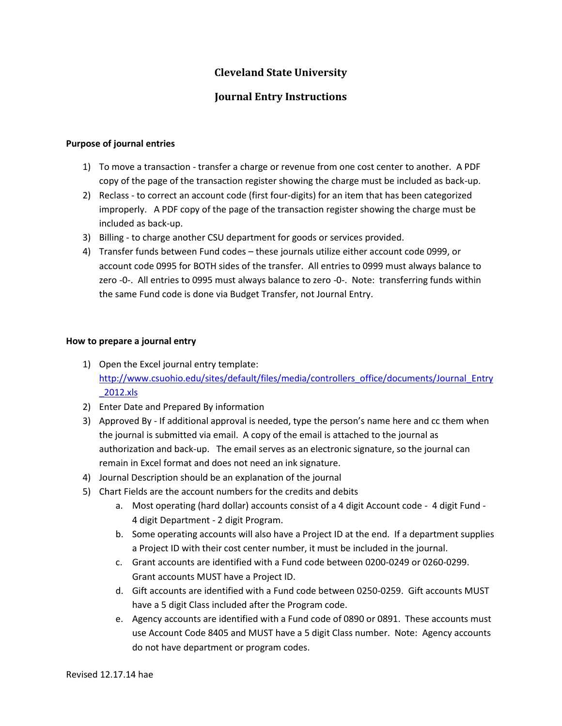## **Cleveland State University**

## **Journal Entry Instructions**

## **Purpose of journal entries**

- 1) To move a transaction transfer a charge or revenue from one cost center to another. A PDF copy of the page of the transaction register showing the charge must be included as back-up.
- 2) Reclass to correct an account code (first four-digits) for an item that has been categorized improperly. A PDF copy of the page of the transaction register showing the charge must be included as back-up.
- 3) Billing to charge another CSU department for goods or services provided.
- 4) Transfer funds between Fund codes these journals utilize either account code 0999, or account code 0995 for BOTH sides of the transfer. All entries to 0999 must always balance to zero -0-. All entries to 0995 must always balance to zero -0-. Note: transferring funds within the same Fund code is done via Budget Transfer, not Journal Entry.

## **How to prepare a journal entry**

- 1) Open the Excel journal entry template: [http://www.csuohio.edu/sites/default/files/media/controllers\\_office/documents/Journal\\_Entry](http://www.csuohio.edu/sites/default/files/media/controllers_office/documents/Journal_Entry_2012.xls) [\\_2012.xls](http://www.csuohio.edu/sites/default/files/media/controllers_office/documents/Journal_Entry_2012.xls)
- 2) Enter Date and Prepared By information
- 3) Approved By If additional approval is needed, type the person's name here and cc them when the journal is submitted via email. A copy of the email is attached to the journal as authorization and back-up. The email serves as an electronic signature, so the journal can remain in Excel format and does not need an ink signature.
- 4) Journal Description should be an explanation of the journal
- 5) Chart Fields are the account numbers for the credits and debits
	- a. Most operating (hard dollar) accounts consist of a 4 digit Account code 4 digit Fund 4 digit Department - 2 digit Program.
	- b. Some operating accounts will also have a Project ID at the end. If a department supplies a Project ID with their cost center number, it must be included in the journal.
	- c. Grant accounts are identified with a Fund code between 0200-0249 or 0260-0299. Grant accounts MUST have a Project ID.
	- d. Gift accounts are identified with a Fund code between 0250-0259. Gift accounts MUST have a 5 digit Class included after the Program code.
	- e. Agency accounts are identified with a Fund code of 0890 or 0891. These accounts must use Account Code 8405 and MUST have a 5 digit Class number. Note: Agency accounts do not have department or program codes.